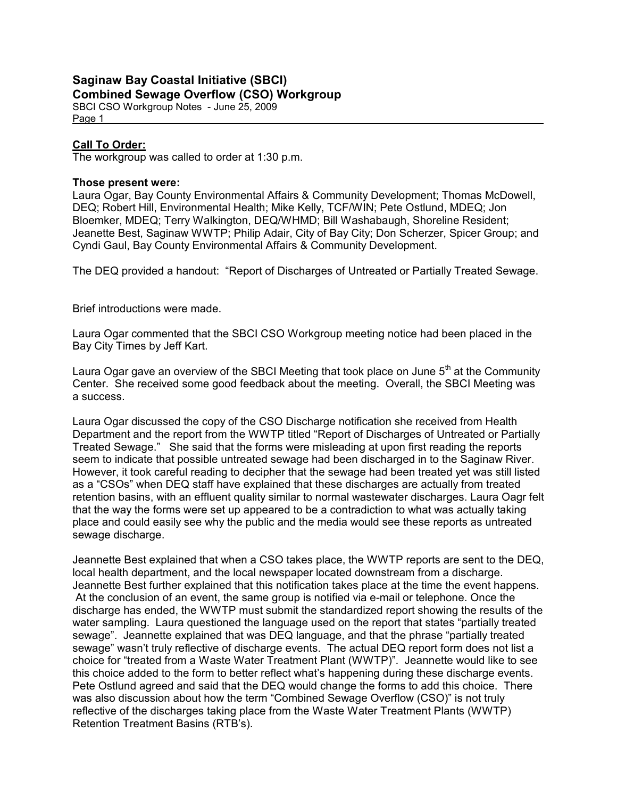### Saginaw Bay Coastal Initiative (SBCI) Combined Sewage Overflow (CSO) Workgroup

SBCI CSO Workgroup Notes - June 25, 2009 Page 1

# Call To Order:

The workgroup was called to order at 1:30 p.m.

#### Those present were:

Laura Ogar, Bay County Environmental Affairs & Community Development; Thomas McDowell, DEQ; Robert Hill, Environmental Health; Mike Kelly, TCF/WIN; Pete Ostlund, MDEQ; Jon Bloemker, MDEQ; Terry Walkington, DEQ/WHMD; Bill Washabaugh, Shoreline Resident; Jeanette Best, Saginaw WWTP; Philip Adair, City of Bay City; Don Scherzer, Spicer Group; and Cyndi Gaul, Bay County Environmental Affairs & Community Development.

The DEQ provided a handout: "Report of Discharges of Untreated or Partially Treated Sewage.

Brief introductions were made.

Laura Ogar commented that the SBCI CSO Workgroup meeting notice had been placed in the Bay City Times by Jeff Kart.

Laura Ogar gave an overview of the SBCI Meeting that took place on June  $5<sup>th</sup>$  at the Community Center. She received some good feedback about the meeting. Overall, the SBCI Meeting was a success.

Laura Ogar discussed the copy of the CSO Discharge notification she received from Health Department and the report from the WWTP titled "Report of Discharges of Untreated or Partially Treated Sewage." She said that the forms were misleading at upon first reading the reports seem to indicate that possible untreated sewage had been discharged in to the Saginaw River. However, it took careful reading to decipher that the sewage had been treated yet was still listed as a "CSOs" when DEQ staff have explained that these discharges are actually from treated retention basins, with an effluent quality similar to normal wastewater discharges. Laura Oagr felt that the way the forms were set up appeared to be a contradiction to what was actually taking place and could easily see why the public and the media would see these reports as untreated sewage discharge.

Jeannette Best explained that when a CSO takes place, the WWTP reports are sent to the DEQ, local health department, and the local newspaper located downstream from a discharge. Jeannette Best further explained that this notification takes place at the time the event happens. At the conclusion of an event, the same group is notified via e-mail or telephone. Once the discharge has ended, the WWTP must submit the standardized report showing the results of the water sampling. Laura questioned the language used on the report that states "partially treated sewage". Jeannette explained that was DEQ language, and that the phrase "partially treated sewage" wasn't truly reflective of discharge events. The actual DEQ report form does not list a choice for "treated from a Waste Water Treatment Plant (WWTP)". Jeannette would like to see this choice added to the form to better reflect what's happening during these discharge events. Pete Ostlund agreed and said that the DEQ would change the forms to add this choice. There was also discussion about how the term "Combined Sewage Overflow (CSO)" is not truly reflective of the discharges taking place from the Waste Water Treatment Plants (WWTP) Retention Treatment Basins (RTB's).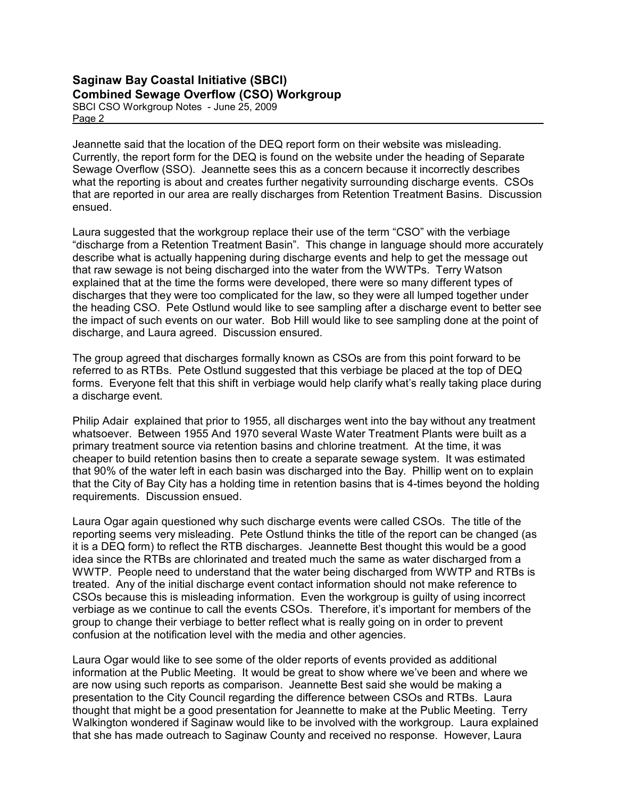#### Saginaw Bay Coastal Initiative (SBCI) Combined Sewage Overflow (CSO) Workgroup SBCI CSO Workgroup Notes - June 25, 2009

Page 2

Jeannette said that the location of the DEQ report form on their website was misleading. Currently, the report form for the DEQ is found on the website under the heading of Separate Sewage Overflow (SSO). Jeannette sees this as a concern because it incorrectly describes what the reporting is about and creates further negativity surrounding discharge events. CSOs that are reported in our area are really discharges from Retention Treatment Basins. Discussion ensued.

Laura suggested that the workgroup replace their use of the term "CSO" with the verbiage "discharge from a Retention Treatment Basin". This change in language should more accurately describe what is actually happening during discharge events and help to get the message out that raw sewage is not being discharged into the water from the WWTPs. Terry Watson explained that at the time the forms were developed, there were so many different types of discharges that they were too complicated for the law, so they were all lumped together under the heading CSO. Pete Ostlund would like to see sampling after a discharge event to better see the impact of such events on our water. Bob Hill would like to see sampling done at the point of discharge, and Laura agreed. Discussion ensured.

The group agreed that discharges formally known as CSOs are from this point forward to be referred to as RTBs. Pete Ostlund suggested that this verbiage be placed at the top of DEQ forms. Everyone felt that this shift in verbiage would help clarify what's really taking place during a discharge event.

Philip Adair explained that prior to 1955, all discharges went into the bay without any treatment whatsoever. Between 1955 And 1970 several Waste Water Treatment Plants were built as a primary treatment source via retention basins and chlorine treatment. At the time, it was cheaper to build retention basins then to create a separate sewage system. It was estimated that 90% of the water left in each basin was discharged into the Bay. Phillip went on to explain that the City of Bay City has a holding time in retention basins that is 4-times beyond the holding requirements. Discussion ensued.

Laura Ogar again questioned why such discharge events were called CSOs. The title of the reporting seems very misleading. Pete Ostlund thinks the title of the report can be changed (as it is a DEQ form) to reflect the RTB discharges. Jeannette Best thought this would be a good idea since the RTBs are chlorinated and treated much the same as water discharged from a WWTP. People need to understand that the water being discharged from WWTP and RTBs is treated. Any of the initial discharge event contact information should not make reference to CSOs because this is misleading information. Even the workgroup is guilty of using incorrect verbiage as we continue to call the events CSOs. Therefore, it's important for members of the group to change their verbiage to better reflect what is really going on in order to prevent confusion at the notification level with the media and other agencies.

Laura Ogar would like to see some of the older reports of events provided as additional information at the Public Meeting. It would be great to show where we've been and where we are now using such reports as comparison. Jeannette Best said she would be making a presentation to the City Council regarding the difference between CSOs and RTBs. Laura thought that might be a good presentation for Jeannette to make at the Public Meeting. Terry Walkington wondered if Saginaw would like to be involved with the workgroup. Laura explained that she has made outreach to Saginaw County and received no response. However, Laura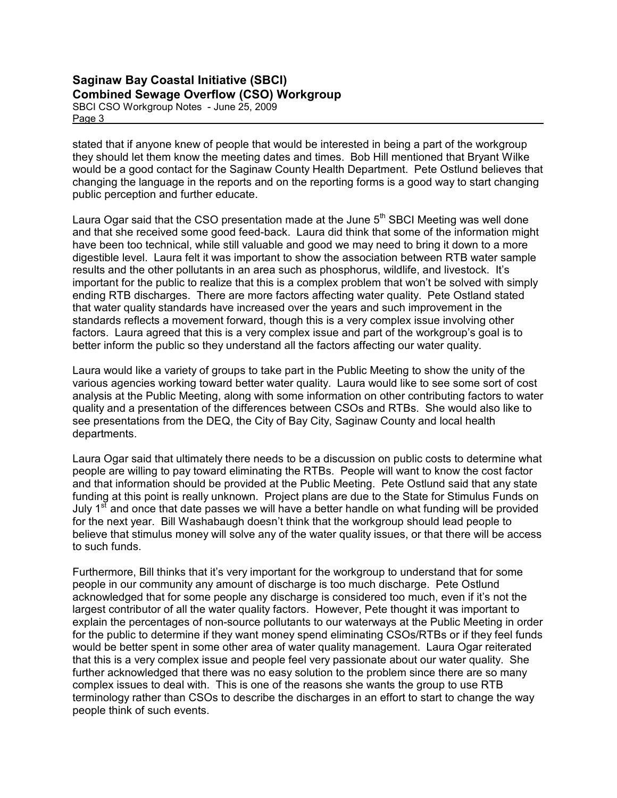#### Saginaw Bay Coastal Initiative (SBCI) Combined Sewage Overflow (CSO) Workgroup SBCI CSO Workgroup Notes - June 25, 2009

Page 3

stated that if anyone knew of people that would be interested in being a part of the workgroup they should let them know the meeting dates and times. Bob Hill mentioned that Bryant Wilke would be a good contact for the Saginaw County Health Department. Pete Ostlund believes that changing the language in the reports and on the reporting forms is a good way to start changing public perception and further educate.

Laura Ogar said that the CSO presentation made at the June  $5<sup>th</sup>$  SBCI Meeting was well done and that she received some good feed-back. Laura did think that some of the information might have been too technical, while still valuable and good we may need to bring it down to a more digestible level. Laura felt it was important to show the association between RTB water sample results and the other pollutants in an area such as phosphorus, wildlife, and livestock. It's important for the public to realize that this is a complex problem that won't be solved with simply ending RTB discharges. There are more factors affecting water quality. Pete Ostland stated that water quality standards have increased over the years and such improvement in the standards reflects a movement forward, though this is a very complex issue involving other factors. Laura agreed that this is a very complex issue and part of the workgroup's goal is to better inform the public so they understand all the factors affecting our water quality.

Laura would like a variety of groups to take part in the Public Meeting to show the unity of the various agencies working toward better water quality. Laura would like to see some sort of cost analysis at the Public Meeting, along with some information on other contributing factors to water quality and a presentation of the differences between CSOs and RTBs. She would also like to see presentations from the DEQ, the City of Bay City, Saginaw County and local health departments.

Laura Ogar said that ultimately there needs to be a discussion on public costs to determine what people are willing to pay toward eliminating the RTBs. People will want to know the cost factor and that information should be provided at the Public Meeting. Pete Ostlund said that any state funding at this point is really unknown. Project plans are due to the State for Stimulus Funds on July  $1<sup>st</sup>$  and once that date passes we will have a better handle on what funding will be provided for the next year. Bill Washabaugh doesn't think that the workgroup should lead people to believe that stimulus money will solve any of the water quality issues, or that there will be access to such funds.

Furthermore, Bill thinks that it's very important for the workgroup to understand that for some people in our community any amount of discharge is too much discharge. Pete Ostlund acknowledged that for some people any discharge is considered too much, even if it's not the largest contributor of all the water quality factors. However, Pete thought it was important to explain the percentages of non-source pollutants to our waterways at the Public Meeting in order for the public to determine if they want money spend eliminating CSOs/RTBs or if they feel funds would be better spent in some other area of water quality management. Laura Ogar reiterated that this is a very complex issue and people feel very passionate about our water quality. She further acknowledged that there was no easy solution to the problem since there are so many complex issues to deal with. This is one of the reasons she wants the group to use RTB terminology rather than CSOs to describe the discharges in an effort to start to change the way people think of such events.